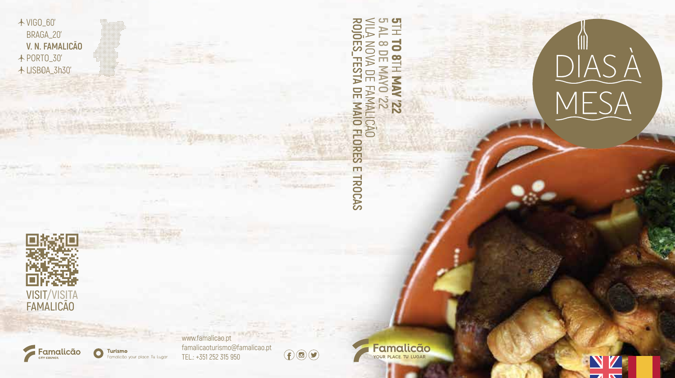DIASÀ<br>MESA

## **BOIO** VILA NOVA DE FAMALICÃO **ט ט ROJÕES\_FESTA DE MAIO FLORES E TROCAS**  $\leq$ **5 AL 8 DE MAYO '22**  $\equiv$ Y.  $\frac{1}{8}$ 元 FESTA  $\equiv$ **ZZ, AVM** FAMALICÃO<br>DE MAIO FLORES E TROCAS  $\overline{\mathcal{Z}}$

**VISIT/VISITA FAMALICÃO**

VIGO\_60' BRAGA\_20' **V. N. FAMALICÃO** PORTO\_30' LISBOA\_3h30'



www.famalicao.pt Turismo TEL.: +351 252 315 950 Famalicão your place. Tu Lugar

famalicaoturismo@famalicao.pt  $\bigoplus$  **Famalicão**